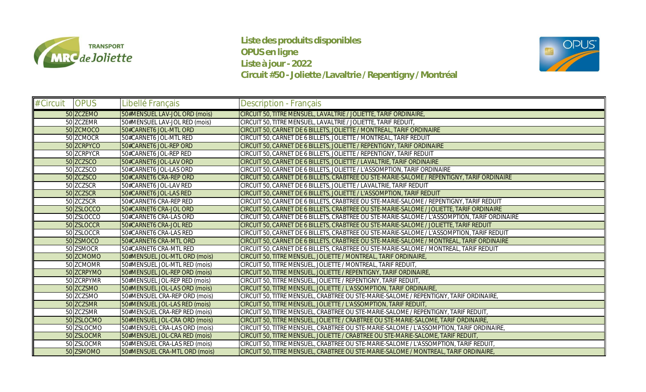

**Liste des produits disponibles OPUS en ligne Liste à jour - 2022 Circuit #50 - Joliette /Lavaltrie / Repentigny / Montréal**



| # Circuit | OPUS       | Libellé Français              | Description - Français                                                                        |
|-----------|------------|-------------------------------|-----------------------------------------------------------------------------------------------|
|           | 50 ZCZEMO  | 50#MENSUEL LAV-JOL ORD (mois) | CIRCUIT 50, TITRE MENSUEL, LAVALTRIE / JOLIETTE, TARIF ORDINAIRE                              |
|           | 50 ZCZEMR  | 50#MENSUEL LAV-JOL RED (mois) | CIRCUIT 50, TITRE MENSUEL, LAVALTRIE / JOLIETTE, TARIF REDUIT                                 |
|           | 50 ZCMOCO  | 50#CARNET6 JOL-MTL ORD        | CIRCUIT 50, CARNET DE 6 BILLETS, JOLIETTE / MONTREAL, TARIF ORDINAIRE                         |
|           | 50 ZCMOCR  | 50#CARNET6 JOL-MTL RED        | CIRCUIT 50, CARNET DE 6 BILLETS, JOLIETTE / MONTREAL, TARIF REDUIT                            |
|           | 50 ZCRPYCO | 50#CARNET6 JOL-REP ORD        | CIRCUIT 50, CARNET DE 6 BILLETS, JOLIETTE / REPENTIGNY, TARIF ORDINAIRE                       |
|           | 50 ZCRPYCR | 50#CARNET6 JOL-REP RED        | CIRCUIT 50, CARNET DE 6 BILLETS, JOLIETTE / REPENTIGNY, TARIF REDUIT                          |
|           | 50 ZCZSCO  | 50#CARNET6 JOL-LAV ORD        | CIRCUIT 50, CARNET DE 6 BILLETS, JOLIETTE / LAVALTRIE, TARIF ORDINAIRE                        |
|           | 50 ZCZSCO  | 50#CARNET6 JOL-LAS ORD        | CIRCUIT 50, CARNET DE 6 BILLETS, JOLIETTE / L'ASSOMPTION, TARIF ORDINAIRE                     |
|           | 50 ZCZSCO  | 50#CARNET6 CRA-REP ORD        | CIRCUIT 50, CARNET DE 6 BILLETS, CRABTREE OU STE-MARIE-SALOME / REPENTIGNY, TARIF ORDINAIRE   |
|           | 50 ZCZSCR  | 50#CARNET6 JOL-LAV RED        | CIRCUIT 50, CARNET DE 6 BILLETS, JOLIETTE / LAVALTRIE, TARIF REDUIT                           |
|           | 50 ZCZSCR  | 50#CARNET6 JOL-LAS RED        | CIRCUIT 50, CARNET DE 6 BILLETS, JOLIETTE / L'ASSOMPTION, TARIF REDUIT                        |
|           | 50 ZCZSCR  | 50#CARNET6 CRA-REP RED        | CIRCUIT 50, CARNET DE 6 BILLETS, CRABTREE OU STE-MARIE-SALOME / REPENTIGNY, TARIF REDUIT      |
|           | 50 ZSLOCCO | 50#CARNET6 CRA-JOL ORD        | CIRCUIT 50, CARNET DE 6 BILLETS, CRABTREE OU STE-MARIE-SALOME / JOLIETTE, TARIF ORDINAIRE     |
|           | 50 ZSLOCCO | 50#CARNET6 CRA-LAS ORD        | CIRCUIT 50, CARNET DE 6 BILLETS, CRABTREE OU STE-MARIE-SALOME / L'ASSOMPTION, TARIF ORDINAIRE |
|           | 50 ZSLOCCR | 50#CARNET6 CRA-JOL RED        | CIRCUIT 50, CARNET DE 6 BILLETS, CRABTREE OU STE-MARIE-SALOME / JOLIETTE, TARIF REDUIT        |
|           | 50 ZSLOCCR | 50#CARNET6 CRA-LAS RED        | CIRCUIT 50, CARNET DE 6 BILLETS, CRABTREE OU STE-MARIE-SALOME / L'ASSOMPTION, TARIF REDUIT    |
|           | 50 ZSMOCO  | 50#CARNET6 CRA-MTL ORD        | CIRCUIT 50, CARNET DE 6 BILLETS, CRABTREE OU STE-MARIE-SALOME / MONTREAL, TARIF ORDINAIRE     |
|           | 50 ZSMOCR  | 50#CARNET6 CRA-MTL RED        | CIRCUIT 50, CARNET DE 6 BILLETS, CRABTREE OU STE-MARIE-SALOME / MONTREAL, TARIF REDUIT        |
|           | 50 ZCMOMO  | 50#MENSUEL JOL-MTL ORD (mois) | CIRCUIT 50, TITRE MENSUEL, JOLIETTE / MONTREAL, TARIF ORDINAIRE,                              |
|           | 50 ZCMOMR  | 50#MENSUEL JOL-MTL RED (mois) | CIRCUIT 50, TITRE MENSUEL, JOLIETTE / MONTREAL, TARIF REDUIT                                  |
|           | 50 ZCRPYMO | 50#MENSUEL JOL-REP ORD (mois) | CIRCUIT 50, TITRE MENSUEL, JOLIETTE / REPENTIGNY, TARIF ORDINAIRE,                            |
|           | 50 ZCRPYMR | 50#MENSUEL JOL-REP RED (mois) | CIRCUIT 50, TITRE MENSUEL, JOLIETTE / REPENTIGNY, TARIF REDUIT,                               |
|           | 50 ZCZSMO  | 50#MENSUEL JOL-LAS ORD (mois) | CIRCUIT 50, TITRE MENSUEL, JOLIETTE / L'ASSOMPTION, TARIF ORDINAIRE,                          |
|           | 50 ZCZSMO  | 50#MENSUEL CRA-REP ORD (mois) | CIRCUIT 50, TITRE MENSUEL, CRABTREE OU STE-MARIE-SALOME / REPENTIGNY, TARIF ORDINAIRE,        |
|           | 50 ZCZSMR  | 50#MENSUEL JOL-LAS RED (mois) | CIRCUIT 50, TITRE MENSUEL, JOLIETTE / L'ASSOMPTION, TARIF REDUIT,                             |
|           | 50 ZCZSMR  | 50#MENSUEL CRA-REP RED (mois) | CIRCUIT 50, TITRE MENSUEL, CRABTREE OU STE-MARIE-SALOME / REPENTIGNY, TARIF REDUIT            |
|           | 50 ZSLOCMO | 50#MENSUEL JOL-CRA ORD (mois) | CIRCUIT 50, TITRE MENSUEL, JOLIETTE / CRABTREE OU STE-MARIE-SALOME, TARIF ORDINAIRE,          |
|           | 50 ZSLOCMO | 50#MENSUEL CRA-LAS ORD (mois) | CIRCUIT 50, TITRE MENSUEL, CRABTREE OU STE-MARIE-SALOME / L'ASSOMPTION, TARIF ORDINAIRE       |
|           | 50 ZSLOCMR | 50#MENSUEL JOL-CRA RED (mois) | CIRCUIT 50. TITRE MENSUELJOLIETTE / CRABTREE OU STE-MARIE-SALOME. TARIE REDUIT                |
|           | 50 ZSLOCMR | 50#MENSUEL CRA-LAS RED (mois) | CIRCUIT 50, TITRE MENSUEL, CRABTREE OU STE-MARIE-SALOME / L'ASSOMPTION, TARIF REDUIT          |
|           | 50 ZSMOMO  | 50#MENSUEL CRA-MTL ORD (mois) | CIRCUIT 50, TITRE MENSUEL, CRABTREE OU STE-MARIE-SALOME / MONTREAL, TARIF ORDINAIRE           |